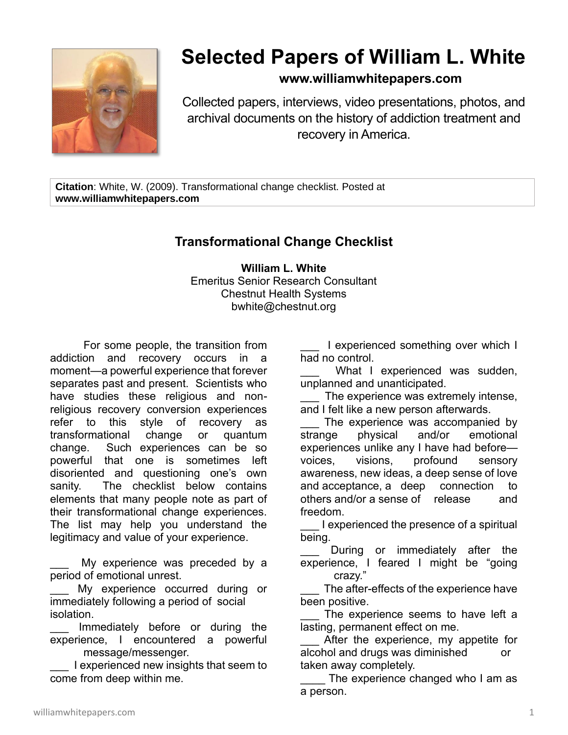

## **Selected Papers of William L. White**

## **www.williamwhitepapers.com**

Collected papers, interviews, video presentations, photos, and archival documents on the history of addiction treatment and recovery in America.

**Citation**: White, W. (2009). Transformational change checklist. Posted at **www.williamwhitepapers.com**

## **Transformational Change Checklist**

**William L. White** Emeritus Senior Research Consultant Chestnut Health Systems bwhite@chestnut.org

For some people, the transition from addiction and recovery occurs in a moment—a powerful experience that forever separates past and present. Scientists who have studies these religious and nonreligious recovery conversion experiences refer to this style of recovery as transformational change or quantum change. Such experiences can be so powerful that one is sometimes left disoriented and questioning one's own sanity. The checklist below contains elements that many people note as part of their transformational change experiences. The list may help you understand the legitimacy and value of your experience.

My experience was preceded by a period of emotional unrest.

My experience occurred during or immediately following a period of social isolation.

Immediately before or during the experience, I encountered a powerful message/messenger.

I experienced new insights that seem to come from deep within me.

I experienced something over which I had no control.

What I experienced was sudden, unplanned and unanticipated.

The experience was extremely intense, and I felt like a new person afterwards.

The experience was accompanied by strange physical and/or emotional experiences unlike any I have had before voices, visions, profound sensory awareness, new ideas, a deep sense of love and acceptance, a deep connection to others and/or a sense of release and freedom.

I experienced the presence of a spiritual being.

During or immediately after the experience, I feared I might be "going crazy."

The after-effects of the experience have been positive.

The experience seems to have left a lasting, permanent effect on me.

After the experience, my appetite for alcohol and drugs was diminished or taken away completely.

The experience changed who I am as a person.